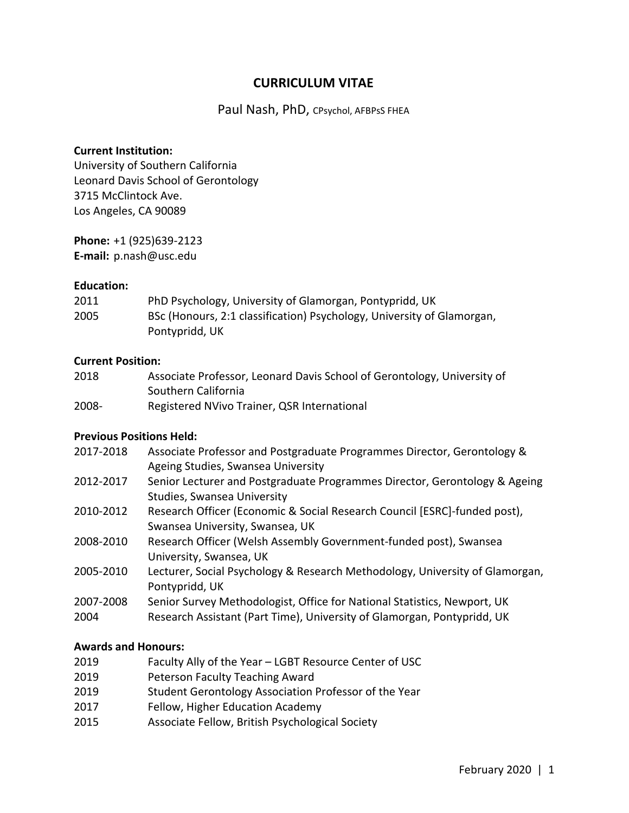# **CURRICULUM VITAE**

Paul Nash, PhD, CPsychol, AFBPsS FHEA

#### **Current Institution:**

University of Southern California Leonard Davis School of Gerontology 3715 McClintock Ave. Los Angeles, CA 90089

**Phone:** +1 (925)639-2123 **E-mail:** p.nash@usc.edu

#### **Education:**

| 2011 | PhD Psychology, University of Glamorgan, Pontypridd, UK                |
|------|------------------------------------------------------------------------|
| 2005 | BSc (Honours, 2:1 classification) Psychology, University of Glamorgan, |
|      | Pontypridd, UK                                                         |

#### **Current Position:**

| 2018  | Associate Professor, Leonard Davis School of Gerontology, University of |
|-------|-------------------------------------------------------------------------|
|       | Southern California                                                     |
| 2008- | Registered NVivo Trainer, QSR International                             |

#### **Previous Positions Held:**

| 2017-2018 | Associate Professor and Postgraduate Programmes Director, Gerontology &    |
|-----------|----------------------------------------------------------------------------|
|           | Ageing Studies, Swansea University                                         |
| 2012-2017 | Senior Lecturer and Postgraduate Programmes Director, Gerontology & Ageing |
|           | Studies, Swansea University                                                |

- 2010-2012 Research Officer (Economic & Social Research Council [ESRC]-funded post), Swansea University, Swansea, UK
- 2008-2010 Research Officer (Welsh Assembly Government-funded post), Swansea University, Swansea, UK
- 2005-2010 Lecturer, Social Psychology & Research Methodology, University of Glamorgan, Pontypridd, UK
- 2007-2008 Senior Survey Methodologist, Office for National Statistics, Newport, UK
- 2004 Research Assistant (Part Time), University of Glamorgan, Pontypridd, UK

#### **Awards and Honours:**

- 2019 Faculty Ally of the Year LGBT Resource Center of USC
- 2019 Peterson Faculty Teaching Award
- 2019 Student Gerontology Association Professor of the Year
- 2017 Fellow, Higher Education Academy
- 2015 Associate Fellow, British Psychological Society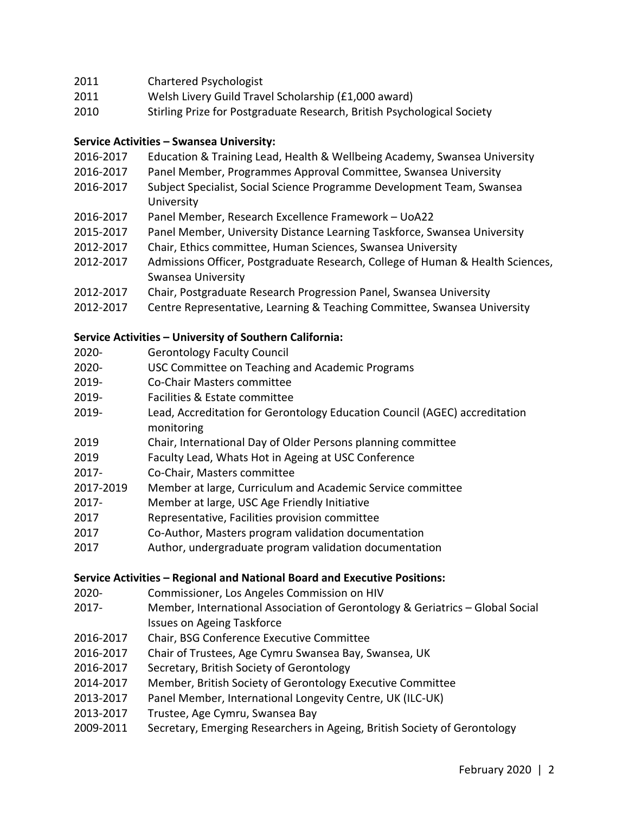# 2011 Chartered Psychologist

- 2011 Welsh Livery Guild Travel Scholarship (£1,000 award)
- 2010 Stirling Prize for Postgraduate Research, British Psychological Society

# **Service Activities – Swansea University:**

- 2016-2017 Education & Training Lead, Health & Wellbeing Academy, Swansea University
- 2016-2017 Panel Member, Programmes Approval Committee, Swansea University
- 2016-2017 Subject Specialist, Social Science Programme Development Team, Swansea University
- 2016-2017 Panel Member, Research Excellence Framework UoA22
- 2015-2017 Panel Member, University Distance Learning Taskforce, Swansea University
- 2012-2017 Chair, Ethics committee, Human Sciences, Swansea University
- 2012-2017 Admissions Officer, Postgraduate Research, College of Human & Health Sciences, Swansea University
- 2012-2017 Chair, Postgraduate Research Progression Panel, Swansea University
- 2012-2017 Centre Representative, Learning & Teaching Committee, Swansea University

## **Service Activities – University of Southern California:**

- 2020- Gerontology Faculty Council
- 2020- USC Committee on Teaching and Academic Programs
- 2019- Co-Chair Masters committee
- 2019- Facilities & Estate committee
- 2019- Lead, Accreditation for Gerontology Education Council (AGEC) accreditation monitoring
- 2019 Chair, International Day of Older Persons planning committee
- 2019 Faculty Lead, Whats Hot in Ageing at USC Conference
- 2017- Co-Chair, Masters committee
- 2017-2019 Member at large, Curriculum and Academic Service committee
- 2017- Member at large, USC Age Friendly Initiative
- 2017 Representative, Facilities provision committee
- 2017 Co-Author, Masters program validation documentation
- 2017 Author, undergraduate program validation documentation

#### **Service Activities – Regional and National Board and Executive Positions:**

- 2020- Commissioner, Los Angeles Commission on HIV
- 2017- Member, International Association of Gerontology & Geriatrics Global Social Issues on Ageing Taskforce
- 2016-2017 Chair, BSG Conference Executive Committee
- 2016-2017 Chair of Trustees, Age Cymru Swansea Bay, Swansea, UK
- 2016-2017 Secretary, British Society of Gerontology
- 2014-2017 Member, British Society of Gerontology Executive Committee
- 2013-2017 Panel Member, International Longevity Centre, UK (ILC-UK)
- 2013-2017 Trustee, Age Cymru, Swansea Bay
- 2009-2011 Secretary, Emerging Researchers in Ageing, British Society of Gerontology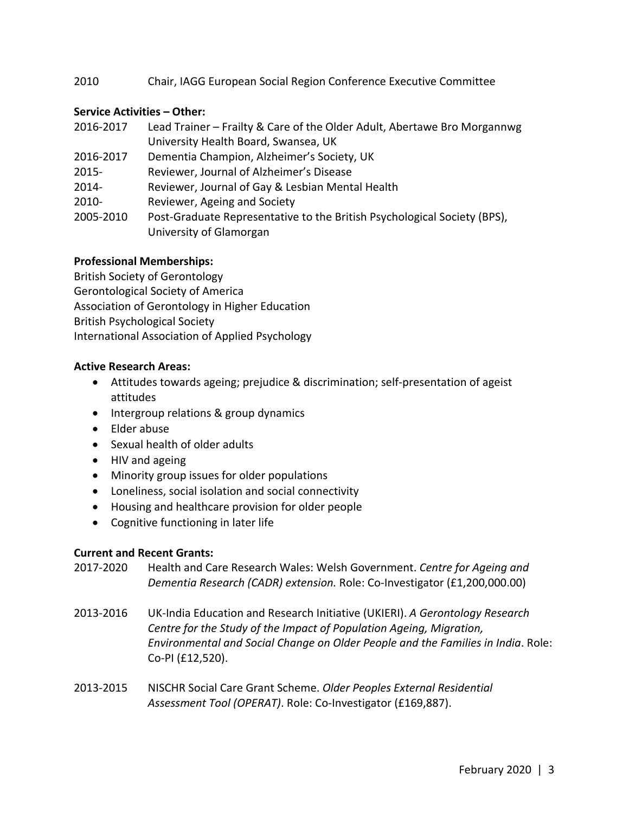## 2010 Chair, IAGG European Social Region Conference Executive Committee

#### **Service Activities – Other:**

| 2016-2017 | Lead Trainer – Frailty & Care of the Older Adult, Abertawe Bro Morgannwg                            |
|-----------|-----------------------------------------------------------------------------------------------------|
|           | University Health Board, Swansea, UK                                                                |
| 2016-2017 | Dementia Champion, Alzheimer's Society, UK                                                          |
| $2015 -$  | Reviewer, Journal of Alzheimer's Disease                                                            |
| 2014-     | Reviewer, Journal of Gay & Lesbian Mental Health                                                    |
| $2010 -$  | Reviewer, Ageing and Society                                                                        |
| 2005-2010 | Post-Graduate Representative to the British Psychological Society (BPS),<br>University of Glamorgan |
|           |                                                                                                     |

#### **Professional Memberships:**

British Society of Gerontology Gerontological Society of America Association of Gerontology in Higher Education British Psychological Society International Association of Applied Psychology

#### **Active Research Areas:**

- Attitudes towards ageing; prejudice & discrimination; self-presentation of ageist attitudes
- Intergroup relations & group dynamics
- Elder abuse
- Sexual health of older adults
- HIV and ageing
- Minority group issues for older populations
- Loneliness, social isolation and social connectivity
- Housing and healthcare provision for older people
- Cognitive functioning in later life

#### **Current and Recent Grants:**

- 2017-2020 Health and Care Research Wales: Welsh Government. *Centre for Ageing and Dementia Research (CADR) extension.* Role: Co-Investigator (£1,200,000.00)
- 2013-2016 UK-India Education and Research Initiative (UKIERI). *A Gerontology Research Centre for the Study of the Impact of Population Ageing, Migration, Environmental and Social Change on Older People and the Families in India*. Role: Co-PI (£12,520).
- 2013-2015 NISCHR Social Care Grant Scheme. *Older Peoples External Residential Assessment Tool (OPERAT)*. Role: Co-Investigator (£169,887).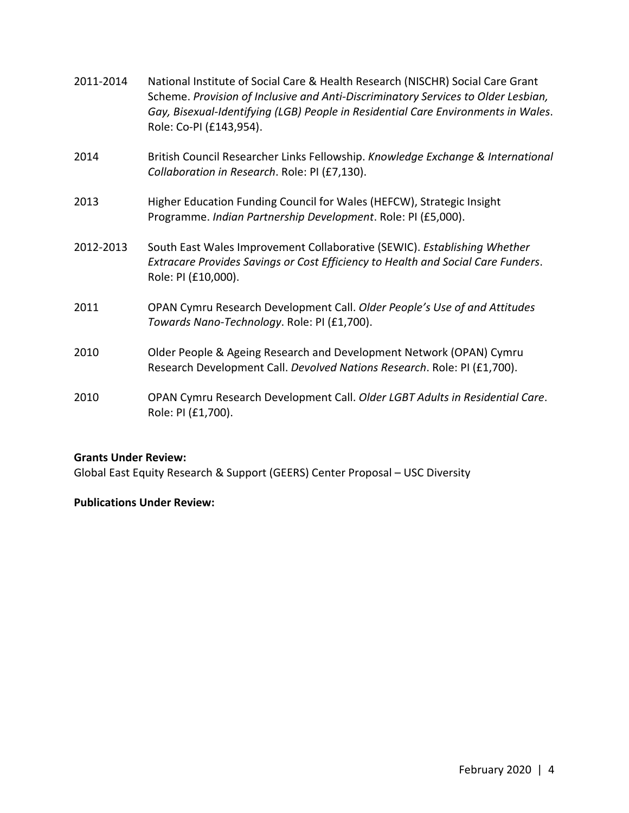| 2011-2014 | National Institute of Social Care & Health Research (NISCHR) Social Care Grant<br>Scheme. Provision of Inclusive and Anti-Discriminatory Services to Older Lesbian,<br>Gay, Bisexual-Identifying (LGB) People in Residential Care Environments in Wales.<br>Role: Co-PI (£143,954). |
|-----------|-------------------------------------------------------------------------------------------------------------------------------------------------------------------------------------------------------------------------------------------------------------------------------------|
| 2014      | British Council Researcher Links Fellowship. Knowledge Exchange & International<br>Collaboration in Research. Role: PI (£7,130).                                                                                                                                                    |
| 2013      | Higher Education Funding Council for Wales (HEFCW), Strategic Insight<br>Programme. Indian Partnership Development. Role: PI (£5,000).                                                                                                                                              |
| 2012-2013 | South East Wales Improvement Collaborative (SEWIC). Establishing Whether<br>Extracare Provides Savings or Cost Efficiency to Health and Social Care Funders.<br>Role: PI (£10,000).                                                                                                 |
| 2011      | OPAN Cymru Research Development Call. Older People's Use of and Attitudes<br>Towards Nano-Technology. Role: PI (£1,700).                                                                                                                                                            |
| 2010      | Older People & Ageing Research and Development Network (OPAN) Cymru<br>Research Development Call. Devolved Nations Research. Role: PI (£1,700).                                                                                                                                     |
| 2010      | OPAN Cymru Research Development Call. Older LGBT Adults in Residential Care.<br>Role: PI (£1,700).                                                                                                                                                                                  |

## **Grants Under Review:**

Global East Equity Research & Support (GEERS) Center Proposal – USC Diversity

#### **Publications Under Review:**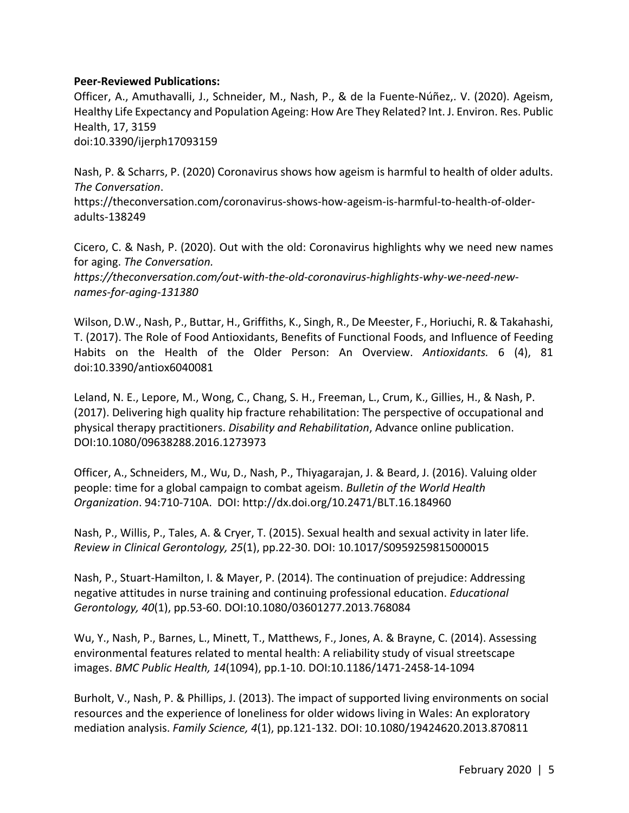#### **Peer-Reviewed Publications:**

Officer, A., Amuthavalli, J., Schneider, M., Nash, P., & de la Fuente-Núñez,. V. (2020). Ageism, Healthy Life Expectancy and Population Ageing: How Are They Related? Int. J. Environ. Res. Public Health, 17, 3159 doi:10.3390/ijerph17093159

Nash, P. & Scharrs, P. (2020) Coronavirus shows how ageism is harmful to health of older adults. *The Conversation*.

https://theconversation.com/coronavirus-shows-how-ageism-is-harmful-to-health-of-olderadults-138249

Cicero, C. & Nash, P. (2020). Out with the old: Coronavirus highlights why we need new names for aging. *The Conversation.* 

*https://theconversation.com/out-with-the-old-coronavirus-highlights-why-we-need-newnames-for-aging-131380* 

Wilson, D.W., Nash, P., Buttar, H., Griffiths, K., Singh, R., De Meester, F., Horiuchi, R. & Takahashi, T. (2017). The Role of Food Antioxidants, Benefits of Functional Foods, and Influence of Feeding Habits on the Health of the Older Person: An Overview. *Antioxidants.* 6 (4), 81 doi:10.3390/antiox6040081

Leland, N. E., Lepore, M., Wong, C., Chang, S. H., Freeman, L., Crum, K., Gillies, H., & Nash, P. (2017). Delivering high quality hip fracture rehabilitation: The perspective of occupational and physical therapy practitioners. *Disability and Rehabilitation*, Advance online publication. DOI:10.1080/09638288.2016.1273973

Officer, A., Schneiders, M., Wu, D., Nash, P., Thiyagarajan, J. & Beard, J. (2016). Valuing older people: time for a global campaign to combat ageism. *Bulletin of the World Health Organization*. 94:710-710A. DOI: http://dx.doi.org/10.2471/BLT.16.184960

Nash, P., Willis, P., Tales, A. & Cryer, T. (2015). Sexual health and sexual activity in later life. *Review in Clinical Gerontology, 25*(1), pp.22-30. DOI: 10.1017/S0959259815000015

Nash, P., Stuart-Hamilton, I. & Mayer, P. (2014). The continuation of prejudice: Addressing negative attitudes in nurse training and continuing professional education. *Educational Gerontology, 40*(1), pp.53-60. DOI:10.1080/03601277.2013.768084

Wu, Y., Nash, P., Barnes, L., Minett, T., Matthews, F., Jones, A. & Brayne, C. (2014). Assessing environmental features related to mental health: A reliability study of visual streetscape images. *BMC Public Health, 14*(1094), pp.1-10. DOI:10.1186/1471-2458-14-1094

Burholt, V., Nash, P. & Phillips, J. (2013). The impact of supported living environments on social resources and the experience of loneliness for older widows living in Wales: An exploratory mediation analysis. *Family Science, 4*(1), pp.121-132. DOI: 10.1080/19424620.2013.870811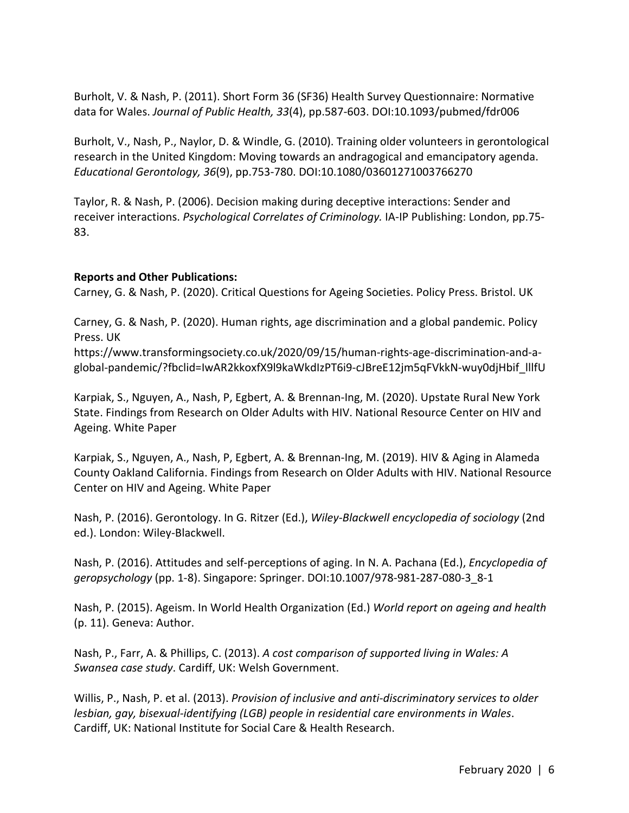Burholt, V. & Nash, P. (2011). Short Form 36 (SF36) Health Survey Questionnaire: Normative data for Wales. *Journal of Public Health, 33*(4), pp.587-603. DOI:10.1093/pubmed/fdr006

Burholt, V., Nash, P., Naylor, D. & Windle, G. (2010). Training older volunteers in gerontological research in the United Kingdom: Moving towards an andragogical and emancipatory agenda. *Educational Gerontology, 36*(9), pp.753-780. DOI:10.1080/03601271003766270

Taylor, R. & Nash, P. (2006). Decision making during deceptive interactions: Sender and receiver interactions. *Psychological Correlates of Criminology.* IA-IP Publishing: London, pp.75- 83.

#### **Reports and Other Publications:**

Carney, G. & Nash, P. (2020). Critical Questions for Ageing Societies. Policy Press. Bristol. UK

Carney, G. & Nash, P. (2020). Human rights, age discrimination and a global pandemic. Policy Press. UK

https://www.transformingsociety.co.uk/2020/09/15/human-rights-age-discrimination-and-aglobal-pandemic/?fbclid=IwAR2kkoxfX9l9kaWkdIzPT6i9-cJBreE12jm5qFVkkN-wuy0djHbif\_lllfU

Karpiak, S., Nguyen, A., Nash, P, Egbert, A. & Brennan-Ing, M. (2020). Upstate Rural New York State. Findings from Research on Older Adults with HIV. National Resource Center on HIV and Ageing. White Paper

Karpiak, S., Nguyen, A., Nash, P, Egbert, A. & Brennan-Ing, M. (2019). HIV & Aging in Alameda County Oakland California. Findings from Research on Older Adults with HIV. National Resource Center on HIV and Ageing. White Paper

Nash, P. (2016). Gerontology. In G. Ritzer (Ed.), *Wiley-Blackwell encyclopedia of sociology* (2nd ed.). London: Wiley-Blackwell.

Nash, P. (2016). Attitudes and self-perceptions of aging. In N. A. Pachana (Ed.), *Encyclopedia of geropsychology* (pp. 1-8). Singapore: Springer. DOI:10.1007/978-981-287-080-3\_8-1

Nash, P. (2015). Ageism. In World Health Organization (Ed.) *World report on ageing and health* (p. 11). Geneva: Author.

Nash, P., Farr, A. & Phillips, C. (2013). *A cost comparison of supported living in Wales: A Swansea case study*. Cardiff, UK: Welsh Government.

Willis, P., Nash, P. et al. (2013). *Provision of inclusive and anti-discriminatory services to older lesbian, gay, bisexual-identifying (LGB) people in residential care environments in Wales*. Cardiff, UK: National Institute for Social Care & Health Research.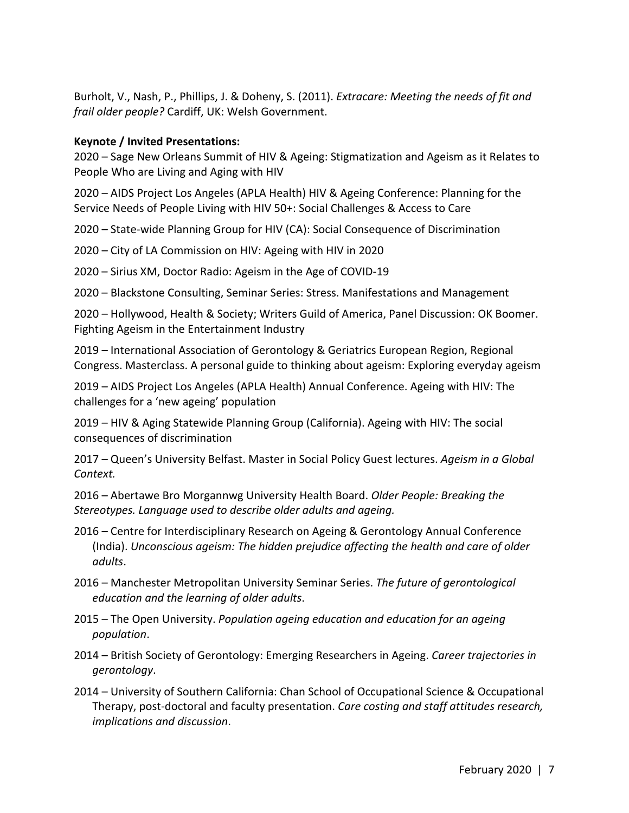Burholt, V., Nash, P., Phillips, J. & Doheny, S. (2011). *Extracare: Meeting the needs of fit and frail older people?* Cardiff, UK: Welsh Government.

### **Keynote / Invited Presentations:**

2020 – Sage New Orleans Summit of HIV & Ageing: Stigmatization and Ageism as it Relates to People Who are Living and Aging with HIV

2020 – AIDS Project Los Angeles (APLA Health) HIV & Ageing Conference: Planning for the Service Needs of People Living with HIV 50+: Social Challenges & Access to Care

2020 – State-wide Planning Group for HIV (CA): Social Consequence of Discrimination

2020 – City of LA Commission on HIV: Ageing with HIV in 2020

2020 – Sirius XM, Doctor Radio: Ageism in the Age of COVID-19

2020 – Blackstone Consulting, Seminar Series: Stress. Manifestations and Management

2020 – Hollywood, Health & Society; Writers Guild of America, Panel Discussion: OK Boomer. Fighting Ageism in the Entertainment Industry

2019 – International Association of Gerontology & Geriatrics European Region, Regional Congress. Masterclass. A personal guide to thinking about ageism: Exploring everyday ageism

2019 – AIDS Project Los Angeles (APLA Health) Annual Conference. Ageing with HIV: The challenges for a 'new ageing' population

2019 – HIV & Aging Statewide Planning Group (California). Ageing with HIV: The social consequences of discrimination

2017 – Queen's University Belfast. Master in Social Policy Guest lectures. *Ageism in a Global Context.*

2016 – Abertawe Bro Morgannwg University Health Board. *Older People: Breaking the Stereotypes. Language used to describe older adults and ageing.*

- 2016 Centre for Interdisciplinary Research on Ageing & Gerontology Annual Conference (India). *Unconscious ageism: The hidden prejudice affecting the health and care of older adults*.
- 2016 Manchester Metropolitan University Seminar Series. *The future of gerontological education and the learning of older adults*.
- 2015 The Open University. *Population ageing education and education for an ageing population*.
- 2014 British Society of Gerontology: Emerging Researchers in Ageing. *Career trajectories in gerontology*.
- 2014 University of Southern California: Chan School of Occupational Science & Occupational Therapy, post-doctoral and faculty presentation. *Care costing and staff attitudes research, implications and discussion*.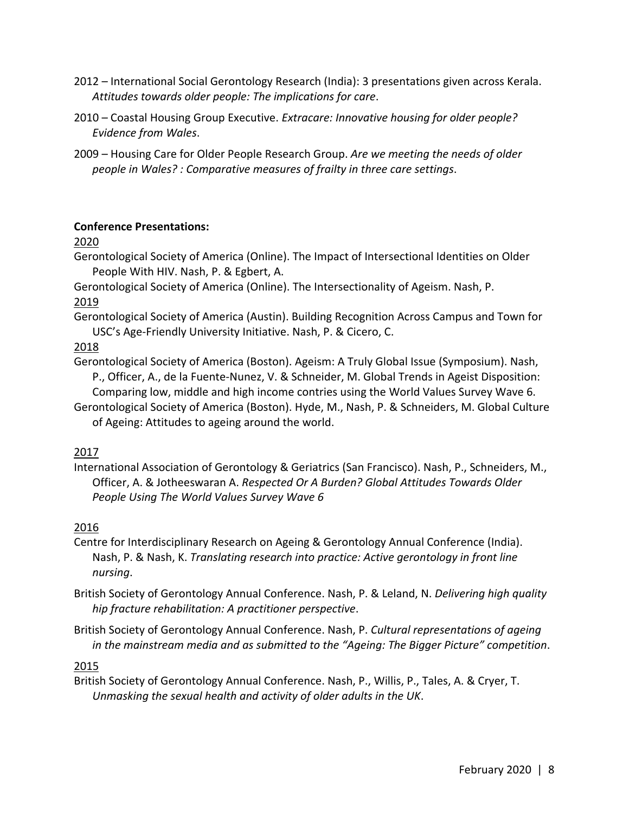- 2012 International Social Gerontology Research (India): 3 presentations given across Kerala. *Attitudes towards older people: The implications for care*.
- 2010 Coastal Housing Group Executive..*Extracare: Innovative housing for older people? Evidence from Wales*.
- 2009 Housing Care for Older People Research Group. *Are we meeting the needs of older people in Wales? : Comparative measures of frailty in three care settings*.

# **Conference Presentations:**

2020

Gerontological Society of America (Online). The Impact of Intersectional Identities on Older People With HIV. Nash, P. & Egbert, A.

Gerontological Society of America (Online). The Intersectionality of Ageism. Nash, P. 2019

Gerontological Society of America (Austin). Building Recognition Across Campus and Town for USC's Age-Friendly University Initiative. Nash, P. & Cicero, C.

2018

Gerontological Society of America (Boston). Ageism: A Truly Global Issue (Symposium). Nash, P., Officer, A., de la Fuente-Nunez, V. & Schneider, M. Global Trends in Ageist Disposition: Comparing low, middle and high income contries using the World Values Survey Wave 6.

Gerontological Society of America (Boston). Hyde, M., Nash, P. & Schneiders, M. Global Culture of Ageing: Attitudes to ageing around the world.

# 2017

International Association of Gerontology & Geriatrics (San Francisco). Nash, P., Schneiders, M., Officer, A. & Jotheeswaran A. *Respected Or A Burden? Global Attitudes Towards Older People Using The World Values Survey Wave 6*

# 2016

- Centre for Interdisciplinary Research on Ageing & Gerontology Annual Conference (India). Nash, P. & Nash, K. *Translating research into practice: Active gerontology in front line nursing*.
- British Society of Gerontology Annual Conference. Nash, P. & Leland, N. *Delivering high quality hip fracture rehabilitation: A practitioner perspective*.
- British Society of Gerontology Annual Conference. Nash, P. *Cultural representations of ageing in the mainstream media and as submitted to the "Ageing: The Bigger Picture" competition*.

# 2015

British Society of Gerontology Annual Conference. Nash, P., Willis, P., Tales, A. & Cryer, T. *Unmasking the sexual health and activity of older adults in the UK*.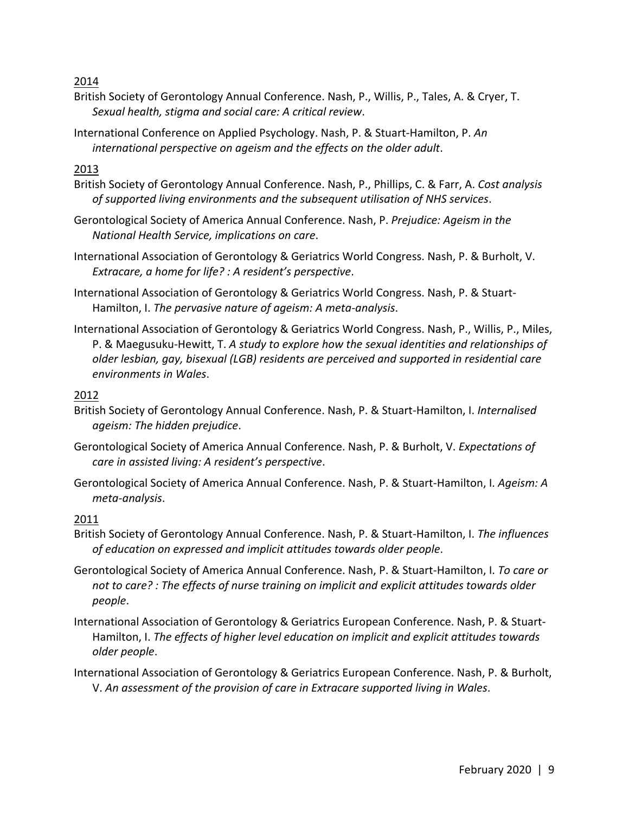2014

- British Society of Gerontology Annual Conference. Nash, P., Willis, P., Tales, A. & Cryer, T. *Sexual health, stigma and social care: A critical review*.
- International Conference on Applied Psychology. Nash, P. & Stuart-Hamilton, P. *An international perspective on ageism and the effects on the older adult*.

# 2013

- British Society of Gerontology Annual Conference. Nash, P., Phillips, C. & Farr, A. *Cost analysis of supported living environments and the subsequent utilisation of NHS services*.
- Gerontological Society of America Annual Conference. Nash, P. *Prejudice: Ageism in the National Health Service, implications on care*.
- International Association of Gerontology & Geriatrics World Congress. Nash, P. & Burholt, V. *Extracare, a home for life? : A resident's perspective*.
- International Association of Gerontology & Geriatrics World Congress. Nash, P. & Stuart-Hamilton, I. *The pervasive nature of ageism: A meta-analysis*.
- International Association of Gerontology & Geriatrics World Congress. Nash, P., Willis, P., Miles, P. & Maegusuku-Hewitt, T. *A study to explore how the sexual identities and relationships of older lesbian, gay, bisexual (LGB) residents are perceived and supported in residential care environments in Wales*.

# 2012

- British Society of Gerontology Annual Conference. Nash, P. & Stuart-Hamilton, I. *Internalised ageism: The hidden prejudice*.
- Gerontological Society of America Annual Conference. Nash, P. & Burholt, V. *Expectations of care in assisted living: A resident's perspective*.
- Gerontological Society of America Annual Conference. Nash, P. & Stuart-Hamilton, I. *Ageism: A meta-analysis*.

# 2011

- British Society of Gerontology Annual Conference. Nash, P. & Stuart-Hamilton, I. *The influences of education on expressed and implicit attitudes towards older people*.
- Gerontological Society of America Annual Conference. Nash, P. & Stuart-Hamilton, I. *To care or not to care? : The effects of nurse training on implicit and explicit attitudes towards older people*.
- International Association of Gerontology & Geriatrics European Conference. Nash, P. & Stuart-Hamilton, I. *The effects of higher level education on implicit and explicit attitudes towards older people*.
- International Association of Gerontology & Geriatrics European Conference. Nash, P. & Burholt, V. *An assessment of the provision of care in Extracare supported living in Wales*.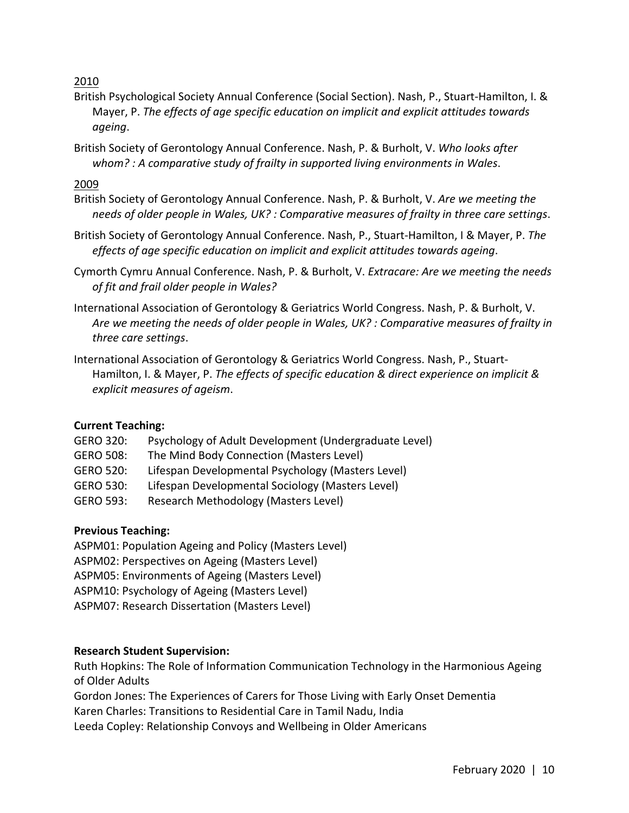2010

- British Psychological Society Annual Conference (Social Section). Nash, P., Stuart-Hamilton, I. & Mayer, P. *The effects of age specific education on implicit and explicit attitudes towards ageing*.
- British Society of Gerontology Annual Conference. Nash, P. & Burholt, V. *Who looks after whom? : A comparative study of frailty in supported living environments in Wales*.

2009

- British Society of Gerontology Annual Conference. Nash, P. & Burholt, V. *Are we meeting the needs of older people in Wales, UK? : Comparative measures of frailty in three care settings*.
- British Society of Gerontology Annual Conference. Nash, P., Stuart-Hamilton, I & Mayer, P. *The effects of age specific education on implicit and explicit attitudes towards ageing*.
- Cymorth Cymru Annual Conference. Nash, P. & Burholt, V. *Extracare: Are we meeting the needs of fit and frail older people in Wales?*
- International Association of Gerontology & Geriatrics World Congress. Nash, P. & Burholt, V. *Are we meeting the needs of older people in Wales, UK? : Comparative measures of frailty in three care settings*.
- International Association of Gerontology & Geriatrics World Congress. Nash, P., Stuart-Hamilton, I. & Mayer, P. *The effects of specific education & direct experience on implicit & explicit measures of ageism*.

# **Current Teaching:**

- GERO 320: Psychology of Adult Development (Undergraduate Level)
- GERO 508: The Mind Body Connection (Masters Level)
- GERO 520: Lifespan Developmental Psychology (Masters Level)
- GERO 530: Lifespan Developmental Sociology (Masters Level)
- GERO 593: Research Methodology (Masters Level)

# **Previous Teaching:**

ASPM01: Population Ageing and Policy (Masters Level) ASPM02: Perspectives on Ageing (Masters Level) ASPM05: Environments of Ageing (Masters Level) ASPM10: Psychology of Ageing (Masters Level) ASPM07: Research Dissertation (Masters Level)

# **Research Student Supervision:**

Ruth Hopkins: The Role of Information Communication Technology in the Harmonious Ageing of Older Adults

Gordon Jones: The Experiences of Carers for Those Living with Early Onset Dementia

Karen Charles: Transitions to Residential Care in Tamil Nadu, India

Leeda Copley: Relationship Convoys and Wellbeing in Older Americans